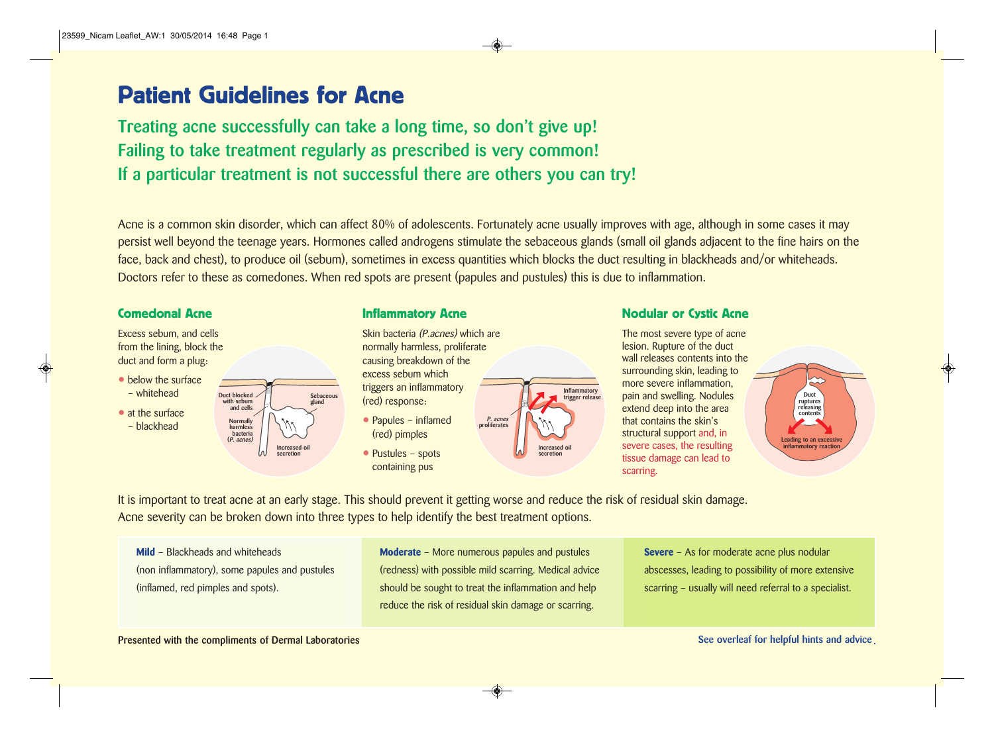# Patient Guidelines for Acne

**Treating acne successfully can take a long time, so don't give up! Failing to take treatment regularly as prescribed is very common! If a particular treatment is not successful there are others you can try!**

Acne is a common skin disorder, which can affect 80% of adolescents. Fortunately acne usually improves with age, although in some cases it may persist well beyond the teenage years. Hormones called androgens stimulate the sebaceous glands (small oil glands adjacent to the fine hairs on the face, back and chest), to produce oil (sebum), sometimes in excess quantities which blocks the duct resulting in blackheads and/or whiteheads. Doctors refer to these as comedones. When red spots are present (papules and pustules) this is due to inflammation.

Excess sebum, and cells from the lining, block the duct and form a plug:

• below the surface – whitehead



Skin bacteria (P.acnes) which are normally harmless, proliferate causing breakdown of the excess sebum which triggers an inflammatory (red) response:

- Papules inflamed (red) pimples
- Pustules spots containing pus



Comedonal Acne **Inflammatory Acne** Inflammatory Acne Nodular or Cystic Acne

The most severe type of acne lesion. Rupture of the duct wall releases contents into the surrounding skin, leading to more severe inflammation, pain and swelling. Nodules extend deep into the area that contains the skin's structural support and, in severe cases, the resulting tissue damage can lead to scarring.



It is important to treat acne at an early stage. This should prevent it getting worse and reduce the risk of residual skin damage. Acne severity can be broken down into three types to help identify the best treatment options.

**Mild** – Blackheads and whiteheads (non inflammatory), some papules and pustules (inflamed, red pimples and spots).

**Duct blocked with sebum and cells**

> **Normally harmless bacteria (P. acnes)**

**Sebaceous gland**

**Increased oil secretion**

> **Moderate** – More numerous papules and pustules (redness) with possible mild scarring. Medical advice should be sought to treat the inflammation and help reduce the risk of residual skin damage or scarring.

**Severe** – As for moderate acne plus nodular abscesses, leading to possibility of more extensive scarring – usually will need referral to a specialist.